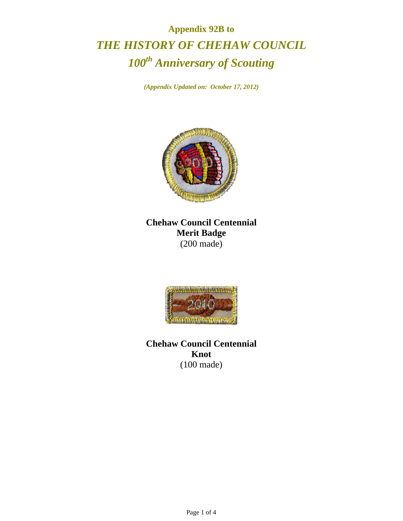## **Appendix 92B to**  *THE HISTORY OF CHEHAW COUNCIL 100th Anniversary of Scouting*

*(Appendix Updated on: October 17, 2012)* 



**Chehaw Council Centennial Merit Badge**  (200 made)



**Chehaw Council Centennial Knot**  (100 made)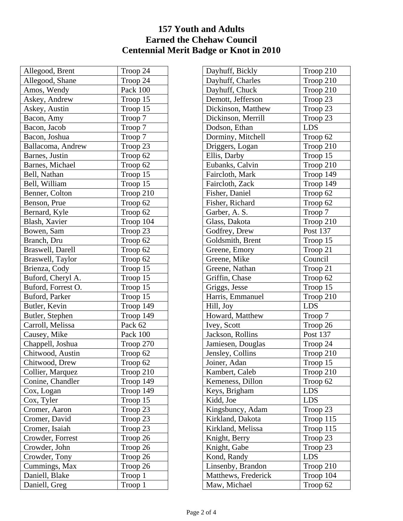## **157 Youth and Adults Earned the Chehaw Council Centennial Merit Badge or Knot in 2010**

| Allegood, Brent    | Troop 24  |
|--------------------|-----------|
| Allegood, Shane    | Troop 24  |
| Amos, Wendy        | Pack 100  |
| Askey, Andrew      | Troop 15  |
| Askey, Austin      | Troop 15  |
| Bacon, Amy         | Troop 7   |
| Bacon, Jacob       | Troop 7   |
| Bacon, Joshua      | Troop 7   |
| Ballacoma, Andrew  | Troop 23  |
| Barnes, Justin     | Troop 62  |
| Barnes, Michael    | Troop 62  |
| Bell, Nathan       | Troop 15  |
| Bell, William      | Troop 15  |
| Benner, Colton     | Troop 210 |
| Benson, Prue       | Troop 62  |
| Bernard, Kyle      | Troop 62  |
| Blash, Xavier      | Troop 104 |
| Bowen, Sam         | Troop 23  |
| Branch, Dru        | Troop 62  |
| Braswell, Darell   | Troop 62  |
| Braswell, Taylor   | Troop 62  |
| Brienza, Cody      | Troop 15  |
| Buford, Cheryl A.  | Troop 15  |
| Buford, Forrest O. | Troop 15  |
| Buford, Parker     | Troop 15  |
| Butler, Kevin      | Troop 149 |
| Butler, Stephen    | Troop 149 |
| Carroll, Melissa   | Pack 62   |
| Causey, Mike       | Pack 100  |
| Chappell, Joshua   | Troop 270 |
| Chitwood, Austin   | Troop 62  |
| Chitwood, Drew     | Troop 62  |
| Collier, Marquez   | Troop 210 |
| Conine, Chandler   | Troop 149 |
| Cox, Logan         | Troop 149 |
| Cox, Tyler         | Troop 15  |
| Cromer, Aaron      | Troop 23  |
| Cromer, David      | Troop 23  |
| Cromer, Isaiah     | Troop 23  |
| Crowder, Forrest   | Troop 26  |
| Crowder, John      | Troop 26  |
| Crowder, Tony      | Troop 26  |
| Cummings, Max      | Troop 26  |
| Daniell, Blake     | Troop 1   |
| Daniell, Greg      | Troop 1   |

| Dayhuff, Bickly     | Troop 210           |
|---------------------|---------------------|
| Dayhuff, Charles    | Troop 210           |
| Dayhuff, Chuck      | Troop 210           |
| Demott, Jefferson   | Troop 23            |
| Dickinson, Matthew  | Troop 23            |
| Dickinson, Merrill  | Troop 23            |
| Dodson, Ethan       | <b>LDS</b>          |
| Dorminy, Mitchell   | Troop 62            |
| Driggers, Logan     | Troop 210           |
| Ellis, Darby        | Troop 15            |
| Eubanks, Calvin     | Troop 210           |
| Faircloth, Mark     | Troop 149           |
| Faircloth, Zack     | Troop 149           |
| Fisher, Daniel      | Troop 62            |
| Fisher, Richard     | Troop 62            |
| Garber, A. S.       | Troop 7             |
| Glass, Dakota       | Troop 210           |
| Godfrey, Drew       | Post 137            |
| Goldsmith, Brent    | Troop 15            |
| Greene, Emory       | Troop 21            |
| Greene, Mike        | Council             |
| Greene, Nathan      | Troop 21            |
| Griffin, Chase      | Troop 62            |
| Griggs, Jesse       | Troop 15            |
| Harris, Emmanuel    | Troop 210           |
| Hill, Joy           | LDS                 |
| Howard, Matthew     | Troop 7             |
| Ivey, Scott         | Troop 26            |
| Jackson, Rollins    | Post 137            |
| Jamiesen, Douglas   | Troop 24            |
| Jensley, Collins    | Troop 210           |
| Joiner, Adan        | Troop <sub>15</sub> |
| Kambert, Caleb      | Troop 210           |
| Kemeness, Dillon    | Troop 62            |
| Keys, Brigham       | LDS                 |
| Kidd, Joe           | <b>LDS</b>          |
| Kingsbuncy, Adam    | Troop 23            |
| Kirkland, Dakota    | Troop 115           |
| Kirkland, Melissa   | Troop 115           |
| Knight, Berry       | Troop 23            |
| Knight, Gabe        | Troop 23            |
| Kond, Randy         | LDS                 |
| Linsenby, Brandon   | Troop 210           |
| Matthews, Frederick | Troop 104           |
| Maw, Michael        | Troop 62            |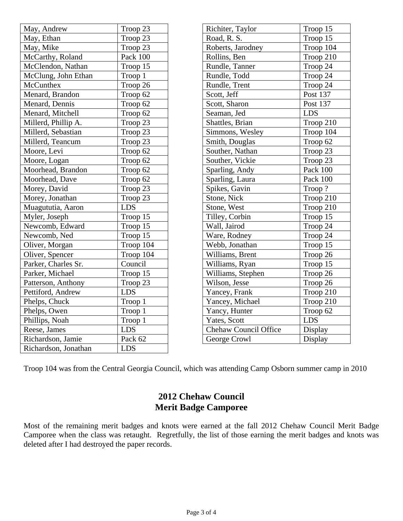| May, Andrew          | Troop 23   | Richiter, Taylor             | Troop 15   |
|----------------------|------------|------------------------------|------------|
| May, Ethan           | Troop 23   | Road, R. S.                  | Troop 15   |
| May, Mike            | Troop 23   | Roberts, Jarodney            | Troop 104  |
| McCarthy, Roland     | Pack 100   | Rollins, Ben                 | Troop 210  |
| McClendon, Nathan    | Troop 15   | Rundle, Tanner               | Troop 24   |
| McClung, John Ethan  | Troop 1    | Rundle, Todd                 | Troop 24   |
| McCunthex            | Troop 26   | Rundle, Trent                | Troop 24   |
| Menard, Brandon      | Troop 62   | Scott, Jeff                  | Post 137   |
| Menard, Dennis       | Troop 62   | Scott, Sharon                | Post 137   |
| Menard, Mitchell     | Troop 62   | Seaman, Jed                  | <b>LDS</b> |
| Millerd, Phillip A.  | Troop 23   | Shattles, Brian              | Troop 210  |
| Millerd, Sebastian   | Troop 23   | Simmons, Wesley              | Troop 104  |
| Millerd, Teancum     | Troop 23   | Smith, Douglas               | Troop 62   |
| Moore, Levi          | Troop 62   | Souther, Nathan              | Troop 23   |
| Moore, Logan         | Troop 62   | Souther, Vickie              | Troop 23   |
| Moorhead, Brandon    | Troop 62   | Sparling, Andy               | Pack 100   |
| Moorhead, Dave       | Troop 62   | Sparling, Laura              | Pack 100   |
| Morey, David         | Troop 23   | Spikes, Gavin                | Troop?     |
| Morey, Jonathan      | Troop 23   | Stone, Nick                  | Troop 210  |
| Muagututia, Aaron    | <b>LDS</b> | Stone, West                  | Troop 210  |
| Myler, Joseph        | Troop 15   | Tilley, Corbin               | Troop 15   |
| Newcomb, Edward      | Troop 15   | Wall, Jairod                 | Troop 24   |
| Newcomb, Ned         | Troop 15   | Ware, Rodney                 | Troop 24   |
| Oliver, Morgan       | Troop 104  | Webb, Jonathan               | Troop 15   |
| Oliver, Spencer      | Troop 104  | Williams, Brent              | Troop 26   |
| Parker, Charles Sr.  | Council    | Williams, Ryan               | Troop 15   |
| Parker, Michael      | Troop 15   | Williams, Stephen            | Troop 26   |
| Patterson, Anthony   | Troop 23   | Wilson, Jesse                | Troop 26   |
| Pettiford, Andrew    | <b>LDS</b> | Yancey, Frank                | Troop 210  |
| Phelps, Chuck        | Troop 1    | Yancey, Michael              | Troop 210  |
| Phelps, Owen         | Troop 1    | Yancy, Hunter                | Troop 62   |
| Phillips, Noah       | Troop 1    | Yates, Scott                 | <b>LDS</b> |
| Reese, James         | <b>LDS</b> | <b>Chehaw Council Office</b> | Display    |
| Richardson, Jamie    | Pack 62    | George Crowl                 | Display    |
| Richardson, Jonathan | <b>LDS</b> |                              |            |

Troop 104 was from the Central Georgia Council, which was attending Camp Osborn summer camp in 2010

## **2012 Chehaw Council Merit Badge Camporee**

Most of the remaining merit badges and knots were earned at the fall 2012 Chehaw Council Merit Badge Camporee when the class was retaught. Regretfully, the list of those earning the merit badges and knots was deleted after I had destroyed the paper records.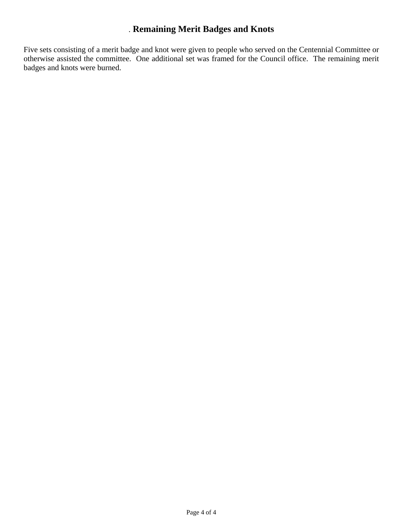## . **Remaining Merit Badges and Knots**

Five sets consisting of a merit badge and knot were given to people who served on the Centennial Committee or otherwise assisted the committee. One additional set was framed for the Council office. The remaining merit badges and knots were burned.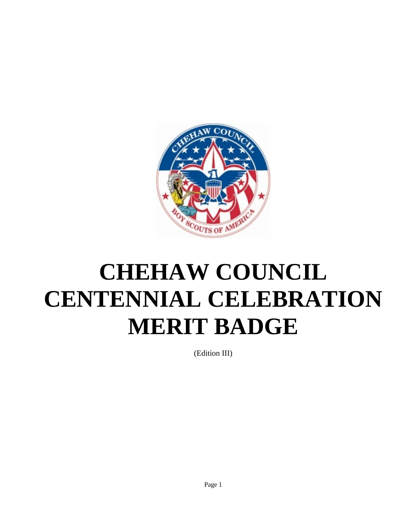

# **CHEHAW COUNCIL CENTENNIAL CELEBRATION MERIT BADGE**

(Edition III)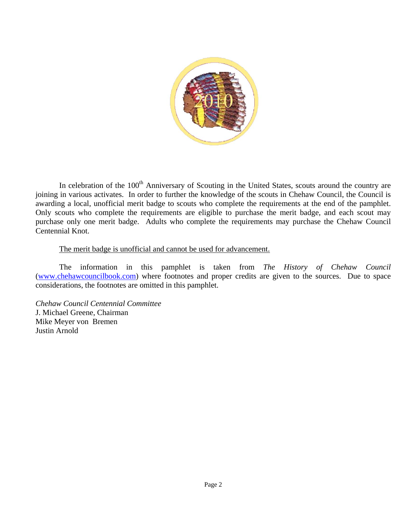

In celebration of the 100<sup>th</sup> Anniversary of Scouting in the United States, scouts around the country are joining in various activates. In order to further the knowledge of the scouts in Chehaw Council, the Council is awarding a local, unofficial merit badge to scouts who complete the requirements at the end of the pamphlet. Only scouts who complete the requirements are eligible to purchase the merit badge, and each scout may purchase only one merit badge. Adults who complete the requirements may purchase the Chehaw Council Centennial Knot.

#### The merit badge is unofficial and cannot be used for advancement.

 The information in this pamphlet is taken from *The History of Chehaw Council* (www.chehawcouncilbook.com) where footnotes and proper credits are given to the sources. Due to space considerations, the footnotes are omitted in this pamphlet.

*Chehaw Council Centennial Committee*  J. Michael Greene, Chairman Mike Meyer von Bremen Justin Arnold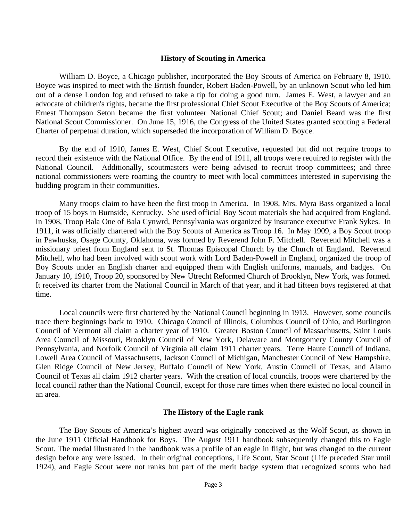#### **History of Scouting in America**

 William D. Boyce, a Chicago publisher, incorporated the Boy Scouts of America on February 8, 1910. Boyce was inspired to meet with the British founder, Robert Baden-Powell, by an unknown Scout who led him out of a dense London fog and refused to take a tip for doing a good turn. James E. West, a lawyer and an advocate of children's rights, became the first professional Chief Scout Executive of the Boy Scouts of America; Ernest Thompson Seton became the first volunteer National Chief Scout; and Daniel Beard was the first National Scout Commissioner. On June 15, 1916, the Congress of the United States granted scouting a Federal Charter of perpetual duration, which superseded the incorporation of William D. Boyce.

By the end of 1910, James E. West, Chief Scout Executive, requested but did not require troops to record their existence with the National Office. By the end of 1911, all troops were required to register with the National Council. Additionally, scoutmasters were being advised to recruit troop committees; and three national commissioners were roaming the country to meet with local committees interested in supervising the budding program in their communities.

 Many troops claim to have been the first troop in America. In 1908, Mrs. Myra Bass organized a local troop of 15 boys in Burnside, Kentucky. She used official Boy Scout materials she had acquired from England. In 1908, Troop Bala One of Bala Cynwrd, Pennsylvania was organized by insurance executive Frank Sykes. In 1911, it was officially chartered with the Boy Scouts of America as Troop 16. In May 1909, a Boy Scout troop in Pawhuska, Osage County, Oklahoma, was formed by Reverend John F. Mitchell. Reverend Mitchell was a missionary priest from England sent to St. Thomas Episcopal Church by the Church of England. Reverend Mitchell, who had been involved with scout work with Lord Baden-Powell in England, organized the troop of Boy Scouts under an English charter and equipped them with English uniforms, manuals, and badges. On January 10, 1910, Troop 20, sponsored by New Utrecht Reformed Church of Brooklyn, New York, was formed. It received its charter from the National Council in March of that year, and it had fifteen boys registered at that time.

 Local councils were first chartered by the National Council beginning in 1913. However, some councils trace there beginnings back to 1910. Chicago Council of Illinois, Columbus Council of Ohio, and Burlington Council of Vermont all claim a charter year of 1910. Greater Boston Council of Massachusetts, Saint Louis Area Council of Missouri, Brooklyn Council of New York, Delaware and Montgomery County Council of Pennsylvania, and Norfolk Council of Virginia all claim 1911 charter years. Terre Haute Council of Indiana, Lowell Area Council of Massachusetts, Jackson Council of Michigan, Manchester Council of New Hampshire, Glen Ridge Council of New Jersey, Buffalo Council of New York, Austin Council of Texas, and Alamo Council of Texas all claim 1912 charter years. With the creation of local councils, troops were chartered by the local council rather than the National Council, except for those rare times when there existed no local council in an area.

#### **The History of the Eagle rank**

 The Boy Scouts of America's highest award was originally conceived as the Wolf Scout, as shown in the June 1911 Official Handbook for Boys. The August 1911 handbook subsequently changed this to Eagle Scout. The medal illustrated in the handbook was a profile of an eagle in flight, but was changed to the current design before any were issued. In their original conceptions, Life Scout, Star Scout (Life preceded Star until 1924), and Eagle Scout were not ranks but part of the merit badge system that recognized scouts who had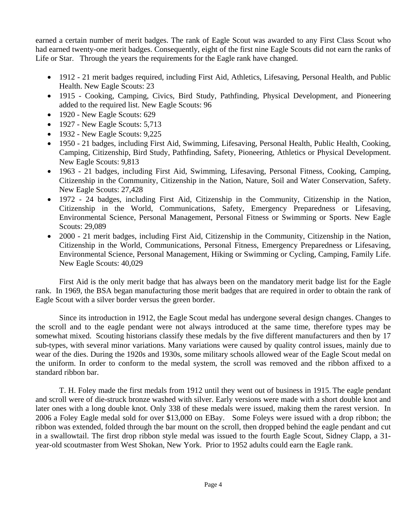earned a certain number of merit badges. The rank of Eagle Scout was awarded to any First Class Scout who had earned twenty-one merit badges. Consequently, eight of the first nine Eagle Scouts did not earn the ranks of Life or Star. Through the years the requirements for the Eagle rank have changed.

- 1912 21 merit badges required, including First Aid, Athletics, Lifesaving, Personal Health, and Public Health. New Eagle Scouts: 23
- 1915 Cooking, Camping, Civics, Bird Study, Pathfinding, Physical Development, and Pioneering added to the required list. New Eagle Scouts: 96
- 1920 New Eagle Scouts: 629
- 1927 New Eagle Scouts: 5,713
- 1932 New Eagle Scouts: 9,225
- 1950 21 badges, including First Aid, Swimming, Lifesaving, Personal Health, Public Health, Cooking, Camping, Citizenship, Bird Study, Pathfinding, Safety, Pioneering, Athletics or Physical Development. New Eagle Scouts: 9,813
- 1963 21 badges, including First Aid, Swimming, Lifesaving, Personal Fitness, Cooking, Camping, Citizenship in the Community, Citizenship in the Nation, Nature, Soil and Water Conservation, Safety. New Eagle Scouts: 27,428
- 1972 24 badges, including First Aid, Citizenship in the Community, Citizenship in the Nation, Citizenship in the World, Communications, Safety, Emergency Preparedness or Lifesaving, Environmental Science, Personal Management, Personal Fitness or Swimming or Sports. New Eagle Scouts: 29,089
- 2000 21 merit badges, including First Aid, Citizenship in the Community, Citizenship in the Nation, Citizenship in the World, Communications, Personal Fitness, Emergency Preparedness or Lifesaving, Environmental Science, Personal Management, Hiking or Swimming or Cycling, Camping, Family Life. New Eagle Scouts: 40,029

 First Aid is the only merit badge that has always been on the mandatory merit badge list for the Eagle rank. In 1969, the BSA began manufacturing those merit badges that are required in order to obtain the rank of Eagle Scout with a silver border versus the green border.

 Since its introduction in 1912, the Eagle Scout medal has undergone several design changes. Changes to the scroll and to the eagle pendant were not always introduced at the same time, therefore types may be somewhat mixed. Scouting historians classify these medals by the five different manufacturers and then by 17 sub-types, with several minor variations. Many variations were caused by quality control issues, mainly due to wear of the dies. During the 1920s and 1930s, some military schools allowed wear of the Eagle Scout medal on the uniform. In order to conform to the medal system, the scroll was removed and the ribbon affixed to a standard ribbon bar.

T. H. Foley made the first medals from 1912 until they went out of business in 1915. The eagle pendant and scroll were of die-struck bronze washed with silver. Early versions were made with a short double knot and later ones with a long double knot. Only 338 of these medals were issued, making them the rarest version. In 2006 a Foley Eagle medal sold for over \$13,000 on EBay. Some Foleys were issued with a drop ribbon; the ribbon was extended, folded through the bar mount on the scroll, then dropped behind the eagle pendant and cut in a swallowtail. The first drop ribbon style medal was issued to the fourth Eagle Scout, Sidney Clapp, a 31 year-old scoutmaster from West Shokan, New York. Prior to 1952 adults could earn the Eagle rank.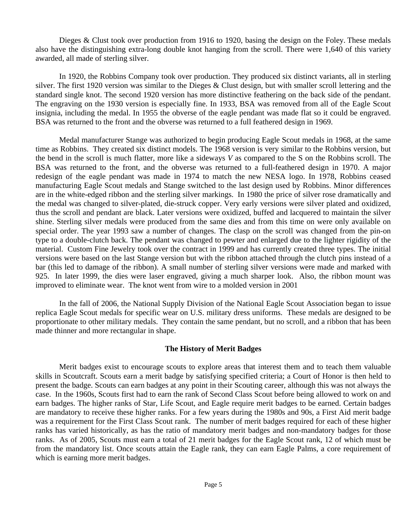Dieges & Clust took over production from 1916 to 1920, basing the design on the Foley. These medals also have the distinguishing extra-long double knot hanging from the scroll. There were 1,640 of this variety awarded, all made of sterling silver.

 In 1920, the Robbins Company took over production. They produced six distinct variants, all in sterling silver. The first 1920 version was similar to the Dieges & Clust design, but with smaller scroll lettering and the standard single knot. The second 1920 version has more distinctive feathering on the back side of the pendant. The engraving on the 1930 version is especially fine. In 1933, BSA was removed from all of the Eagle Scout insignia, including the medal. In 1955 the obverse of the eagle pendant was made flat so it could be engraved. BSA was returned to the front and the obverse was returned to a full feathered design in 1969.

 Medal manufacturer Stange was authorized to begin producing Eagle Scout medals in 1968, at the same time as Robbins. They created six distinct models. The 1968 version is very similar to the Robbins version, but the bend in the scroll is much flatter, more like a sideways *V* as compared to the S on the Robbins scroll. The BSA was returned to the front, and the obverse was returned to a full-feathered design in 1970. A major redesign of the eagle pendant was made in 1974 to match the new NESA logo. In 1978, Robbins ceased manufacturing Eagle Scout medals and Stange switched to the last design used by Robbins. Minor differences are in the white-edged ribbon and the sterling silver markings. In 1980 the price of silver rose dramatically and the medal was changed to silver-plated, die-struck copper. Very early versions were silver plated and oxidized, thus the scroll and pendant are black. Later versions were oxidized, buffed and lacquered to maintain the silver shine. Sterling silver medals were produced from the same dies and from this time on were only available on special order. The year 1993 saw a number of changes. The clasp on the scroll was changed from the pin-on type to a double-clutch back. The pendant was changed to pewter and enlarged due to the lighter rigidity of the material. Custom Fine Jewelry took over the contract in 1999 and has currently created three types. The initial versions were based on the last Stange version but with the ribbon attached through the clutch pins instead of a bar (this led to damage of the ribbon). A small number of sterling silver versions were made and marked with 925. In later 1999, the dies were laser engraved, giving a much sharper look. Also, the ribbon mount was improved to eliminate wear. The knot went from wire to a molded version in 2001

 In the fall of 2006, the National Supply Division of the National Eagle Scout Association began to issue replica Eagle Scout medals for specific wear on U.S. military dress uniforms. These medals are designed to be proportionate to other military medals. They contain the same pendant, but no scroll, and a ribbon that has been made thinner and more rectangular in shape.

#### **The History of Merit Badges**

 Merit badges exist to encourage scouts to explore areas that interest them and to teach them valuable skills in Scoutcraft. Scouts earn a merit badge by satisfying specified criteria; a Court of Honor is then held to present the badge. Scouts can earn badges at any point in their Scouting career, although this was not always the case. In the 1960s, Scouts first had to earn the rank of Second Class Scout before being allowed to work on and earn badges. The higher ranks of Star, Life Scout, and Eagle require merit badges to be earned. Certain badges are mandatory to receive these higher ranks. For a few years during the 1980s and 90s, a First Aid merit badge was a requirement for the First Class Scout rank. The number of merit badges required for each of these higher ranks has varied historically, as has the ratio of mandatory merit badges and non-mandatory badges for those ranks. As of 2005, Scouts must earn a total of 21 merit badges for the Eagle Scout rank, 12 of which must be from the mandatory list. Once scouts attain the Eagle rank, they can earn Eagle Palms, a core requirement of which is earning more merit badges.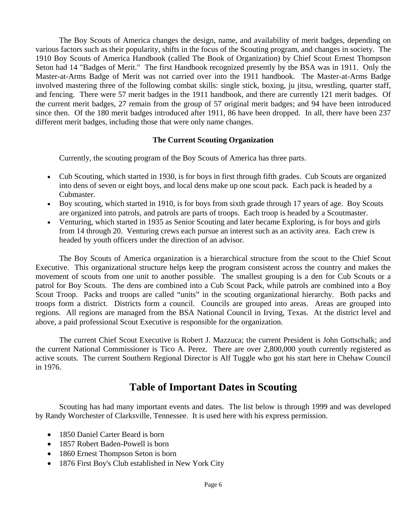The Boy Scouts of America changes the design, name, and availability of merit badges, depending on various factors such as their popularity, shifts in the focus of the Scouting program, and changes in society. The 1910 Boy Scouts of America Handbook (called The Book of Organization) by Chief Scout Ernest Thompson Seton had 14 "Badges of Merit." The first Handbook recognized presently by the BSA was in 1911. Only the Master-at-Arms Badge of Merit was not carried over into the 1911 handbook. The Master-at-Arms Badge involved mastering three of the following combat skills: single stick, boxing, ju jitsu, wrestling, quarter staff, and fencing. There were 57 merit badges in the 1911 handbook, and there are currently 121 merit badges. Of the current merit badges, 27 remain from the group of 57 original merit badges; and 94 have been introduced since then. Of the 180 merit badges introduced after 1911, 86 have been dropped. In all, there have been 237 different merit badges, including those that were only name changes.

#### **The Current Scouting Organization**

Currently, the scouting program of the Boy Scouts of America has three parts.

- Cub Scouting, which started in 1930, is for boys in first through fifth grades. Cub Scouts are organized into dens of seven or eight boys, and local dens make up one scout pack. Each pack is headed by a Cubmaster.
- Boy scouting, which started in 1910, is for boys from sixth grade through 17 years of age. Boy Scouts are organized into patrols, and patrols are parts of troops. Each troop is headed by a Scoutmaster.
- Venturing, which started in 1935 as Senior Scouting and later became Exploring, is for boys and girls from 14 through 20. Venturing crews each pursue an interest such as an activity area. Each crew is headed by youth officers under the direction of an advisor.

 The Boy Scouts of America organization is a hierarchical structure from the scout to the Chief Scout Executive. This organizational structure helps keep the program consistent across the country and makes the movement of scouts from one unit to another possible. The smallest grouping is a den for Cub Scouts or a patrol for Boy Scouts. The dens are combined into a Cub Scout Pack, while patrols are combined into a Boy Scout Troop. Packs and troops are called "units" in the scouting organizational hierarchy. Both packs and troops form a district. Districts form a council. Councils are grouped into areas. Areas are grouped into regions. All regions are managed from the BSA National Council in Irving, Texas. At the district level and above, a paid professional Scout Executive is responsible for the organization.

 The current Chief Scout Executive is Robert J. Mazzuca; the current President is John Gottschalk; and the current National Commissioner is Tico A. Perez. There are over 2,800,000 youth currently registered as active scouts. The current Southern Regional Director is Alf Tuggle who got his start here in Chehaw Council in 1976.

## **Table of Important Dates in Scouting**

 Scouting has had many important events and dates. The list below is through 1999 and was developed by Randy Worchester of Clarksville, Tennessee. It is used here with his express permission.

- 1850 Daniel Carter Beard is born
- 1857 Robert Baden-Powell is born
- 1860 Ernest Thompson Seton is born
- 1876 First Boy's Club established in New York City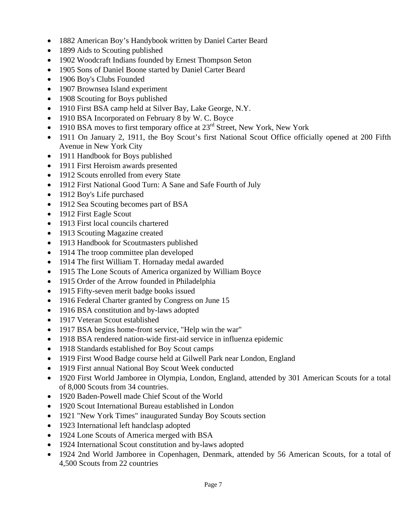- 1882 American Boy's Handybook written by Daniel Carter Beard
- 1899 Aids to Scouting published
- 1902 Woodcraft Indians founded by Ernest Thompson Seton
- 1905 Sons of Daniel Boone started by Daniel Carter Beard
- 1906 Boy's Clubs Founded
- 1907 Brownsea Island experiment
- 1908 Scouting for Boys published
- 1910 First BSA camp held at Silver Bay, Lake George, N.Y.
- 1910 BSA Incorporated on February 8 by W. C. Boyce
- 1910 BSA moves to first temporary office at  $23<sup>rd</sup>$  Street, New York, New York
- 1911 On January 2, 1911, the Boy Scout's first National Scout Office officially opened at 200 Fifth Avenue in New York City
- 1911 Handbook for Boys published
- 1911 First Heroism awards presented
- 1912 Scouts enrolled from every State
- 1912 First National Good Turn: A Sane and Safe Fourth of July
- 1912 Boy's Life purchased
- 1912 Sea Scouting becomes part of BSA
- 1912 First Eagle Scout
- 1913 First local councils chartered
- 1913 Scouting Magazine created
- 1913 Handbook for Scoutmasters published
- 1914 The troop committee plan developed
- 1914 The first William T. Hornaday medal awarded
- 1915 The Lone Scouts of America organized by William Boyce
- 1915 Order of the Arrow founded in Philadelphia
- 1915 Fifty-seven merit badge books issued
- 1916 Federal Charter granted by Congress on June 15
- 1916 BSA constitution and by-laws adopted
- 1917 Veteran Scout established
- 1917 BSA begins home-front service, "Help win the war"
- 1918 BSA rendered nation-wide first-aid service in influenza epidemic
- 1918 Standards established for Boy Scout camps
- 1919 First Wood Badge course held at Gilwell Park near London, England
- 1919 First annual National Boy Scout Week conducted
- 1920 First World Jamboree in Olympia, London, England, attended by 301 American Scouts for a total of 8,000 Scouts from 34 countries.
- 1920 Baden-Powell made Chief Scout of the World
- 1920 Scout International Bureau established in London
- 1921 "New York Times" inaugurated Sunday Boy Scouts section
- 1923 International left handclasp adopted
- 1924 Lone Scouts of America merged with BSA
- 1924 International Scout constitution and by-laws adopted
- 1924 2nd World Jamboree in Copenhagen, Denmark, attended by 56 American Scouts, for a total of 4,500 Scouts from 22 countries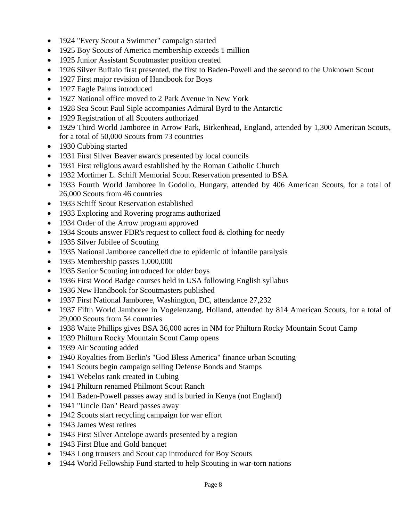- 1924 "Every Scout a Swimmer" campaign started
- 1925 Boy Scouts of America membership exceeds 1 million
- 1925 Junior Assistant Scoutmaster position created
- 1926 Silver Buffalo first presented, the first to Baden-Powell and the second to the Unknown Scout
- 1927 First major revision of Handbook for Boys
- 1927 Eagle Palms introduced
- 1927 National office moved to 2 Park Avenue in New York
- 1928 Sea Scout Paul Siple accompanies Admiral Byrd to the Antarctic
- 1929 Registration of all Scouters authorized
- 1929 Third World Jamboree in Arrow Park, Birkenhead, England, attended by 1,300 American Scouts, for a total of 50,000 Scouts from 73 countries
- 1930 Cubbing started
- 1931 First Silver Beaver awards presented by local councils
- 1931 First religious award established by the Roman Catholic Church
- 1932 Mortimer L. Schiff Memorial Scout Reservation presented to BSA
- 1933 Fourth World Jamboree in Godollo, Hungary, attended by 406 American Scouts, for a total of 26,000 Scouts from 46 countries
- 1933 Schiff Scout Reservation established
- 1933 Exploring and Rovering programs authorized
- 1934 Order of the Arrow program approved
- 1934 Scouts answer FDR's request to collect food & clothing for needy
- 1935 Silver Jubilee of Scouting
- 1935 National Jamboree cancelled due to epidemic of infantile paralysis
- 1935 Membership passes 1,000,000
- 1935 Senior Scouting introduced for older boys
- 1936 First Wood Badge courses held in USA following English syllabus
- 1936 New Handbook for Scoutmasters published
- 1937 First National Jamboree, Washington, DC, attendance 27,232
- 1937 Fifth World Jamboree in Vogelenzang, Holland, attended by 814 American Scouts, for a total of 29,000 Scouts from 54 countries
- 1938 Waite Phillips gives BSA 36,000 acres in NM for Philturn Rocky Mountain Scout Camp
- 1939 Philturn Rocky Mountain Scout Camp opens
- 1939 Air Scouting added
- 1940 Royalties from Berlin's "God Bless America" finance urban Scouting
- 1941 Scouts begin campaign selling Defense Bonds and Stamps
- 1941 Webelos rank created in Cubing
- 1941 Philturn renamed Philmont Scout Ranch
- 1941 Baden-Powell passes away and is buried in Kenya (not England)
- 1941 "Uncle Dan" Beard passes away
- 1942 Scouts start recycling campaign for war effort
- 1943 James West retires
- 1943 First Silver Antelope awards presented by a region
- 1943 First Blue and Gold banquet
- 1943 Long trousers and Scout cap introduced for Boy Scouts
- 1944 World Fellowship Fund started to help Scouting in war-torn nations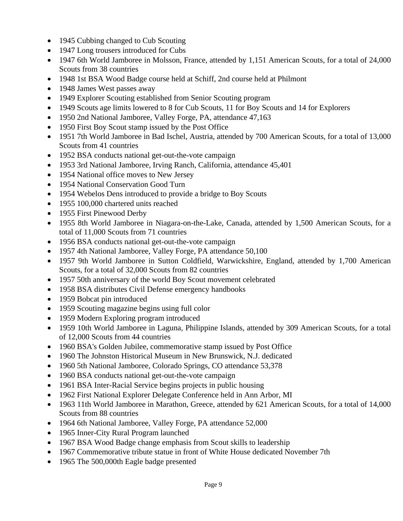- 1945 Cubbing changed to Cub Scouting
- 1947 Long trousers introduced for Cubs
- 1947 6th World Jamboree in Molsson, France, attended by 1,151 American Scouts, for a total of 24,000 Scouts from 38 countries
- 1948 1st BSA Wood Badge course held at Schiff, 2nd course held at Philmont
- 1948 James West passes away
- 1949 Explorer Scouting established from Senior Scouting program
- 1949 Scouts age limits lowered to 8 for Cub Scouts, 11 for Boy Scouts and 14 for Explorers
- 1950 2nd National Jamboree, Valley Forge, PA, attendance 47,163
- 1950 First Boy Scout stamp issued by the Post Office
- 1951 7th World Jamboree in Bad Ischel, Austria, attended by 700 American Scouts, for a total of 13,000 Scouts from 41 countries
- 1952 BSA conducts national get-out-the-vote campaign
- 1953 3rd National Jamboree, Irving Ranch, California, attendance 45,401
- 1954 National office moves to New Jersey
- 1954 National Conservation Good Turn
- 1954 Webelos Dens introduced to provide a bridge to Boy Scouts
- 1955 100,000 chartered units reached
- 1955 First Pinewood Derby
- 1955 8th World Jamboree in Niagara-on-the-Lake, Canada, attended by 1,500 American Scouts, for a total of 11,000 Scouts from 71 countries
- 1956 BSA conducts national get-out-the-vote campaign
- 1957 4th National Jamboree, Valley Forge, PA attendance 50,100
- 1957 9th World Jamboree in Sutton Coldfield, Warwickshire, England, attended by 1,700 American Scouts, for a total of 32,000 Scouts from 82 countries
- 1957 50th anniversary of the world Boy Scout movement celebrated
- 1958 BSA distributes Civil Defense emergency handbooks
- 1959 Bobcat pin introduced
- 1959 Scouting magazine begins using full color
- 1959 Modern Exploring program introduced
- 1959 10th World Jamboree in Laguna, Philippine Islands, attended by 309 American Scouts, for a total of 12,000 Scouts from 44 countries
- 1960 BSA's Golden Jubilee, commemorative stamp issued by Post Office
- 1960 The Johnston Historical Museum in New Brunswick, N.J. dedicated
- 1960 5th National Jamboree, Colorado Springs, CO attendance 53,378
- 1960 BSA conducts national get-out-the-vote campaign
- 1961 BSA Inter-Racial Service begins projects in public housing
- 1962 First National Explorer Delegate Conference held in Ann Arbor, MI
- 1963 11th World Jamboree in Marathon, Greece, attended by 621 American Scouts, for a total of 14,000 Scouts from 88 countries
- 1964 6th National Jamboree, Valley Forge, PA attendance 52,000
- 1965 Inner-City Rural Program launched
- 1967 BSA Wood Badge change emphasis from Scout skills to leadership
- 1967 Commemorative tribute statue in front of White House dedicated November 7th
- 1965 The 500,000th Eagle badge presented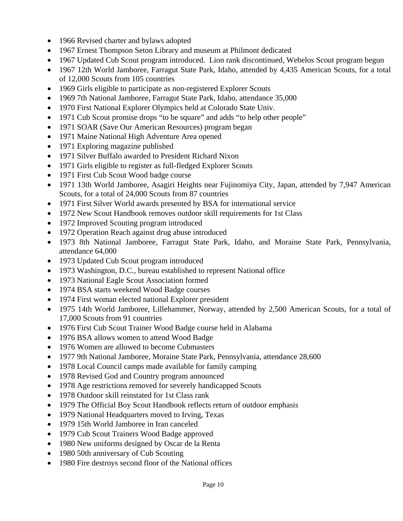- 1966 Revised charter and bylaws adopted
- 1967 Ernest Thompson Seton Library and museum at Philmont dedicated
- 1967 Updated Cub Scout program introduced. Lion rank discontinued, Webelos Scout program begun
- 1967 12th World Jamboree, Farragut State Park, Idaho, attended by 4,435 American Scouts, for a total of 12,000 Scouts from 105 countries
- 1969 Girls eligible to participate as non-registered Explorer Scouts
- 1969 7th National Jamboree, Farragut State Park, Idaho, attendance 35,000
- 1970 First National Explorer Olympics held at Colorado State Univ.
- 1971 Cub Scout promise drops "to be square" and adds "to help other people"
- 1971 SOAR (Save Our American Resources) program began
- 1971 Maine National High Adventure Area opened
- 1971 Exploring magazine published
- 1971 Silver Buffalo awarded to President Richard Nixon
- 1971 Girls eligible to register as full-fledged Explorer Scouts
- 1971 First Cub Scout Wood badge course
- 1971 13th World Jamboree, Asagiri Heights near Fujinomiya City, Japan, attended by 7,947 American Scouts, for a total of 24,000 Scouts from 87 countries
- 1971 First Silver World awards presented by BSA for international service
- 1972 New Scout Handbook removes outdoor skill requirements for 1st Class
- 1972 Improved Scouting program introduced
- 1972 Operation Reach against drug abuse introduced
- 1973 8th National Jamboree, Farragut State Park, Idaho, and Moraine State Park, Pennsylvania, attendance 64,000
- 1973 Updated Cub Scout program introduced
- 1973 Washington, D.C., bureau established to represent National office
- 1973 National Eagle Scout Association formed
- 1974 BSA starts weekend Wood Badge courses
- 1974 First woman elected national Explorer president
- 1975 14th World Jamboree, Lillehammer, Norway, attended by 2,500 American Scouts, for a total of 17,000 Scouts from 91 countries
- 1976 First Cub Scout Trainer Wood Badge course held in Alabama
- 1976 BSA allows women to attend Wood Badge
- 1976 Women are allowed to become Cubmasters
- 1977 9th National Jamboree, Moraine State Park, Pennsylvania, attendance 28,600
- 1978 Local Council camps made available for family camping
- 1978 Revised God and Country program announced
- 1978 Age restrictions removed for severely handicapped Scouts
- 1978 Outdoor skill reinstated for 1st Class rank
- 1979 The Official Boy Scout Handbook reflects return of outdoor emphasis
- 1979 National Headquarters moved to Irving, Texas
- 1979 15th World Jamboree in Iran canceled
- 1979 Cub Scout Trainers Wood Badge approved
- 1980 New uniforms designed by Oscar de la Renta
- 1980 50th anniversary of Cub Scouting
- 1980 Fire destroys second floor of the National offices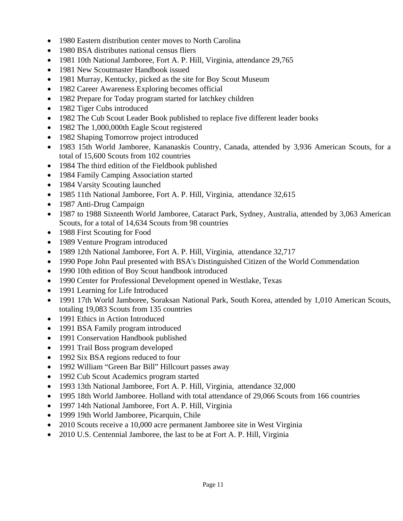- 1980 Eastern distribution center moves to North Carolina
- 1980 BSA distributes national census fliers
- 1981 10th National Jamboree, Fort A. P. Hill, Virginia, attendance 29,765
- 1981 New Scoutmaster Handbook issued
- 1981 Murray, Kentucky, picked as the site for Boy Scout Museum
- 1982 Career Awareness Exploring becomes official
- 1982 Prepare for Today program started for latchkey children
- 1982 Tiger Cubs introduced
- 1982 The Cub Scout Leader Book published to replace five different leader books
- 1982 The 1,000,000th Eagle Scout registered
- 1982 Shaping Tomorrow project introduced
- 1983 15th World Jamboree, Kananaskis Country, Canada, attended by 3,936 American Scouts, for a total of 15,600 Scouts from 102 countries
- 1984 The third edition of the Fieldbook published
- 1984 Family Camping Association started
- 1984 Varsity Scouting launched
- 1985 11th National Jamboree, Fort A. P. Hill, Virginia, attendance 32,615
- 1987 Anti-Drug Campaign
- 1987 to 1988 Sixteenth World Jamboree, Cataract Park, Sydney, Australia, attended by 3,063 American Scouts, for a total of 14,634 Scouts from 98 countries
- 1988 First Scouting for Food
- 1989 Venture Program introduced
- 1989 12th National Jamboree, Fort A. P. Hill, Virginia, attendance 32,717
- 1990 Pope John Paul presented with BSA's Distinguished Citizen of the World Commendation
- 1990 10th edition of Boy Scout handbook introduced
- 1990 Center for Professional Development opened in Westlake, Texas
- 1991 Learning for Life Introduced
- 1991 17th World Jamboree, Soraksan National Park, South Korea, attended by 1,010 American Scouts, totaling 19,083 Scouts from 135 countries
- 1991 Ethics in Action Introduced
- 1991 BSA Family program introduced
- 1991 Conservation Handbook published
- 1991 Trail Boss program developed
- 1992 Six BSA regions reduced to four
- 1992 William "Green Bar Bill" Hillcourt passes away
- 1992 Cub Scout Academics program started
- 1993 13th National Jamboree, Fort A. P. Hill, Virginia, attendance 32,000
- 1995 18th World Jamboree. Holland with total attendance of 29,066 Scouts from 166 countries
- 1997 14th National Jamboree, Fort A. P. Hill, Virginia
- 1999 19th World Jamboree, Picarquin, Chile
- 2010 Scouts receive a 10,000 acre permanent Jamboree site in West Virginia
- 2010 U.S. Centennial Jamboree, the last to be at Fort A. P. Hill, Virginia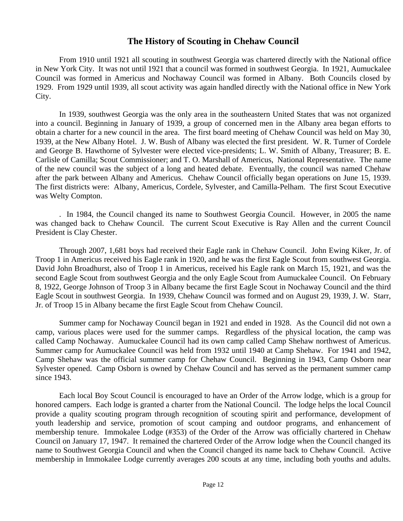## **The History of Scouting in Chehaw Council**

From 1910 until 1921 all scouting in southwest Georgia was chartered directly with the National office in New York City. It was not until 1921 that a council was formed in southwest Georgia. In 1921, Aumuckalee Council was formed in Americus and Nochaway Council was formed in Albany. Both Councils closed by 1929. From 1929 until 1939, all scout activity was again handled directly with the National office in New York City.

 In 1939, southwest Georgia was the only area in the southeastern United States that was not organized into a council. Beginning in January of 1939, a group of concerned men in the Albany area began efforts to obtain a charter for a new council in the area. The first board meeting of Chehaw Council was held on May 30, 1939, at the New Albany Hotel. J. W. Bush of Albany was elected the first president. W. R. Turner of Cordele and George B. Hawthorne of Sylvester were elected vice-presidents; L. W. Smith of Albany, Treasurer; B. E. Carlisle of Camilla; Scout Commissioner; and T. O. Marshall of Americus, National Representative. The name of the new council was the subject of a long and heated debate. Eventually, the council was named Chehaw after the park between Albany and Americus. Chehaw Council officially began operations on June 15, 1939. The first districts were: Albany, Americus, Cordele, Sylvester, and Camilla-Pelham. The first Scout Executive was Welty Compton.

. In 1984, the Council changed its name to Southwest Georgia Council. However, in 2005 the name was changed back to Chehaw Council. The current Scout Executive is Ray Allen and the current Council President is Clay Chester.

 Through 2007, 1,681 boys had received their Eagle rank in Chehaw Council. John Ewing Kiker, Jr. of Troop 1 in Americus received his Eagle rank in 1920, and he was the first Eagle Scout from southwest Georgia. David John Broadhurst, also of Troop 1 in Americus, received his Eagle rank on March 15, 1921, and was the second Eagle Scout from southwest Georgia and the only Eagle Scout from Aumuckalee Council. On February 8, 1922, George Johnson of Troop 3 in Albany became the first Eagle Scout in Nochaway Council and the third Eagle Scout in southwest Georgia. In 1939, Chehaw Council was formed and on August 29, 1939, J. W. Starr, Jr. of Troop 15 in Albany became the first Eagle Scout from Chehaw Council.

Summer camp for Nochaway Council began in 1921 and ended in 1928. As the Council did not own a camp, various places were used for the summer camps. Regardless of the physical location, the camp was called Camp Nochaway. Aumuckalee Council had its own camp called Camp Shehaw northwest of Americus. Summer camp for Aumuckalee Council was held from 1932 until 1940 at Camp Shehaw. For 1941 and 1942, Camp Shehaw was the official summer camp for Chehaw Council. Beginning in 1943, Camp Osborn near Sylvester opened. Camp Osborn is owned by Chehaw Council and has served as the permanent summer camp since 1943.

 Each local Boy Scout Council is encouraged to have an Order of the Arrow lodge, which is a group for honored campers. Each lodge is granted a charter from the National Council. The lodge helps the local Council provide a quality scouting program through recognition of scouting spirit and performance, development of youth leadership and service, promotion of scout camping and outdoor programs, and enhancement of membership tenure. Immokalee Lodge (#353) of the Order of the Arrow was officially chartered in Chehaw Council on January 17, 1947. It remained the chartered Order of the Arrow lodge when the Council changed its name to Southwest Georgia Council and when the Council changed its name back to Chehaw Council. Active membership in Immokalee Lodge currently averages 200 scouts at any time, including both youths and adults.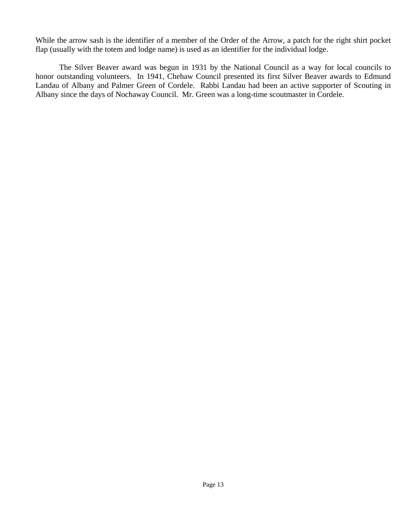While the arrow sash is the identifier of a member of the Order of the Arrow, a patch for the right shirt pocket flap (usually with the totem and lodge name) is used as an identifier for the individual lodge.

 The Silver Beaver award was begun in 1931 by the National Council as a way for local councils to honor outstanding volunteers. In 1941, Chehaw Council presented its first Silver Beaver awards to Edmund Landau of Albany and Palmer Green of Cordele. Rabbi Landau had been an active supporter of Scouting in Albany since the days of Nochaway Council. Mr. Green was a long-time scoutmaster in Cordele.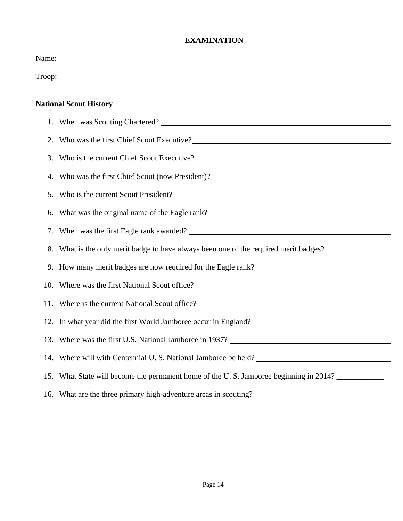### **EXAMINATION**

|    | <b>National Scout History</b>                                                         |
|----|---------------------------------------------------------------------------------------|
|    |                                                                                       |
|    | 2. Who was the first Chief Scout Executive?                                           |
| 3. |                                                                                       |
| 4. |                                                                                       |
|    |                                                                                       |
|    |                                                                                       |
|    |                                                                                       |
|    | 8. What is the only merit badge to have always been one of the required merit badges? |
|    |                                                                                       |
|    |                                                                                       |
|    |                                                                                       |
|    |                                                                                       |
|    |                                                                                       |
|    | 14. Where will with Centennial U.S. National Jamboree be held?                        |
|    | 15. What State will become the permanent home of the U.S. Jamboree beginning in 2014? |
|    | 16. What are the three primary high-adventure areas in scouting?                      |